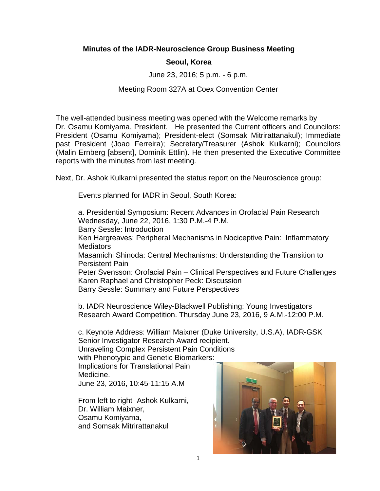## **Minutes of the IADR-Neuroscience Group Business Meeting**

## **Seoul, Korea**

June 23, 2016; 5 p.m. - 6 p.m.

## Meeting Room 327A at Coex Convention Center

The well-attended business meeting was opened with the Welcome remarks by Dr. Osamu Komiyama, President. He presented the Current officers and Councilors: President (Osamu Komiyama); President-elect (Somsak Mitrirattanakul); Immediate past President (Joao Ferreira); Secretary/Treasurer (Ashok Kulkarni); Councilors (Malin Ernberg [absent], Dominik Ettlin). He then presented the Executive Committee reports with the minutes from last meeting.

Next, Dr. Ashok Kulkarni presented the status report on the Neuroscience group:

Events planned for IADR in Seoul, South Korea:

a. Presidential Symposium: Recent Advances in Orofacial Pain Research Wednesday, June 22, 2016, 1:30 P.M.-4 P.M.

Barry Sessle: Introduction

Ken Hargreaves: Peripheral Mechanisms in Nociceptive Pain: Inflammatory **Mediators** 

Masamichi Shinoda: Central Mechanisms: Understanding the Transition to Persistent Pain

Peter Svensson: Orofacial Pain – Clinical Perspectives and Future Challenges Karen Raphael and Christopher Peck: Discussion Barry Sessle: Summary and Future Perspectives

b. IADR Neuroscience Wiley-Blackwell Publishing: Young Investigators Research Award Competition. Thursday June 23, 2016, 9 A.M.-12:00 P.M.

c. Keynote Address: William Maixner (Duke University, U.S.A), IADR-GSK Senior Investigator Research Award recipient.

Unraveling Complex Persistent Pain Conditions

with Phenotypic and Genetic Biomarkers:

Implications for Translational Pain Medicine. June 23, 2016, 10:45-11:15 A.M

From left to right- Ashok Kulkarni, Dr. William Maixner, Osamu Komiyama, and Somsak Mitrirattanakul

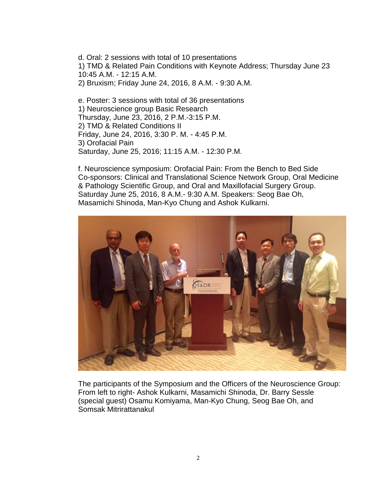d. Oral: 2 sessions with total of 10 presentations 1) TMD & Related Pain Conditions with Keynote Address; Thursday June 23 10:45 A.M. - 12:15 A.M. 2) Bruxism; Friday June 24, 2016, 8 A.M. - 9:30 A.M.

e. Poster: 3 sessions with total of 36 presentations 1) Neuroscience group Basic Research Thursday, June 23, 2016, 2 P.M.-3:15 P.M. 2) TMD & Related Conditions II Friday, June 24, 2016, 3:30 P. M. - 4:45 P.M. 3) Orofacial Pain Saturday, June 25, 2016; 11:15 A.M. - 12:30 P.M.

f. Neuroscience symposium: Orofacial Pain: From the Bench to Bed Side Co-sponsors: Clinical and Translational Science Network Group, Oral Medicine & Pathology Scientific Group, and Oral and Maxillofacial Surgery Group. Saturday June 25, 2016, 8 A.M.- 9:30 A.M. Speakers: Seog Bae Oh, Masamichi Shinoda, Man-Kyo Chung and Ashok Kulkarni.



The participants of the Symposium and the Officers of the Neuroscience Group: From left to right- Ashok Kulkarni, Masamichi Shinoda, Dr. Barry Sessle (special guest) Osamu Komiyama, Man-Kyo Chung, Seog Bae Oh, and Somsak Mitrirattanakul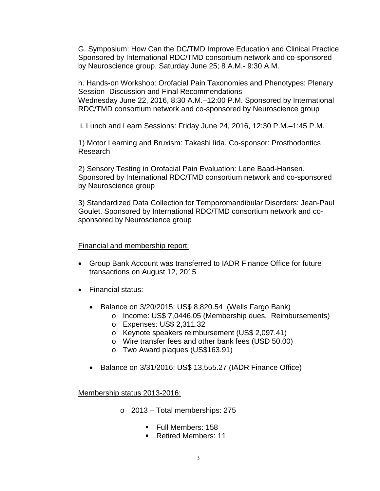G. Symposium: How Can the DC/TMD Improve Education and Clinical Practice Sponsored by International RDC/TMD consortium network and co-sponsored by Neuroscience group. Saturday June 25; 8 A.M.- 9:30 A.M.

h. Hands-on Workshop: Orofacial Pain Taxonomies and Phenotypes: Plenary Session- Discussion and Final Recommendations Wednesday June 22, 2016, 8:30 A.M.–12:00 P.M. Sponsored by International RDC/TMD consortium network and co-sponsored by Neuroscience group

i. Lunch and Learn Sessions: Friday June 24, 2016, 12:30 P.M.–1:45 P.M.

1) Motor Learning and Bruxism: Takashi Iida. Co-sponsor: Prosthodontics Research

2) Sensory Testing in Orofacial Pain Evaluation: Lene Baad-Hansen. Sponsored by International RDC/TMD consortium network and co-sponsored by Neuroscience group

3) Standardized Data Collection for Temporomandibular Disorders: Jean-Paul Goulet. Sponsored by International RDC/TMD consortium network and cosponsored by Neuroscience group

### Financial and membership report:

- Group Bank Account was transferred to IADR Finance Office for future transactions on August 12, 2015
- Financial status:
	- Balance on 3/20/2015: US\$ 8,820.54 (Wells Fargo Bank)
		- o Income: US\$ 7,0446.05 (Membership dues, Reimbursements)
			- o Expenses: US\$ 2,311.32
			- o Keynote speakers reimbursement (US\$ 2,097.41)
			- o Wire transfer fees and other bank fees (USD 50.00)
			- o Two Award plaques (US\$163.91)
	- Balance on 3/31/2016: US\$ 13,555.27 (IADR Finance Office)

Membership status 2013-2016:

- o 2013 Total memberships: 275
	- **Full Members: 158**
	- Retired Members: 11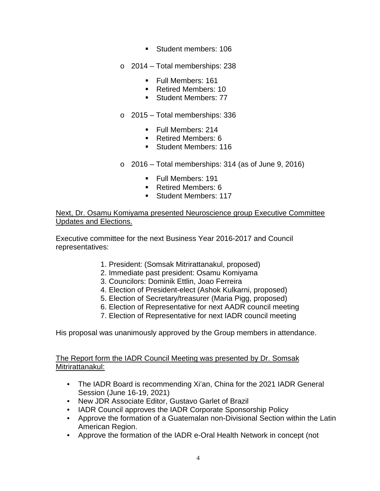- Student members: 106
- o 2014 Total memberships: 238
	- Full Members: 161
	- Retired Members: 10
	- Student Members: 77
- o 2015 Total memberships: 336
	- **Full Members: 214**
	- Retired Members: 6
	- Student Members: 116
- $\circ$  2016 Total memberships: 314 (as of June 9, 2016)
	- **Full Members: 191**
	- Retired Members: 6
	- Student Members: 117

Next, Dr. Osamu Komiyama presented Neuroscience group Executive Committee Updates and Elections.

Executive committee for the next Business Year 2016-2017 and Council representatives:

- 1. President: (Somsak Mitrirattanakul, proposed)
- 2. Immediate past president: Osamu Komiyama
- 3. Councilors: Dominik Ettlin, Joao Ferreira
- 4. Election of President-elect (Ashok Kulkarni, proposed)
- 5. Election of Secretary/treasurer (Maria Pigg, proposed)
- 6. Election of Representative for next AADR council meeting
- 7. Election of Representative for next IADR council meeting

His proposal was unanimously approved by the Group members in attendance.

The Report form the IADR Council Meeting was presented by Dr. Somsak Mitrirattanakul:

- The IADR Board is recommending Xi'an, China for the 2021 IADR General Session (June 16-19, 2021)
- New JDR Associate Editor, Gustavo Garlet of Brazil
- IADR Council approves the IADR Corporate Sponsorship Policy
- Approve the formation of a Guatemalan non-Divisional Section within the Latin American Region.
- Approve the formation of the IADR e-Oral Health Network in concept (not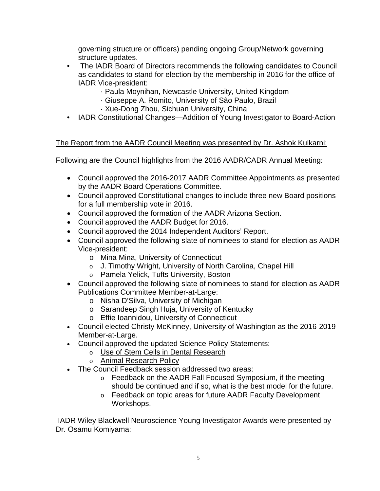governing structure or officers) pending ongoing Group/Network governing structure updates.

- The IADR Board of Directors recommends the following candidates to Council as candidates to stand for election by the membership in 2016 for the office of IADR Vice-president:
	- · Paula Moynihan, Newcastle University, United Kingdom
	- · Giuseppe A. Romito, University of São Paulo, Brazil
	- · Xue-Dong Zhou, Sichuan University, China
- IADR Constitutional Changes—Addition of Young Investigator to Board-Action

# The Report from the AADR Council Meeting was presented by Dr. Ashok Kulkarni:

Following are the Council highlights from the 2016 AADR/CADR Annual Meeting:

- Council approved the 2016-2017 AADR Committee Appointments as presented by the AADR Board Operations Committee.
- Council approved Constitutional changes to include three new Board positions for a full membership vote in 2016.
- Council approved the formation of the AADR Arizona Section.
- Council approved the AADR Budget for 2016.
- Council approved the 2014 Independent Auditors' Report.
- Council approved the following slate of nominees to stand for election as AADR Vice-president:
	- o Mina Mina, University of Connecticut
	- o J. Timothy Wright, University of North Carolina, Chapel Hill
	- o Pamela Yelick, Tufts University, Boston
- Council approved the following slate of nominees to stand for election as AADR Publications Committee Member-at-Large:
	- o Nisha D'Silva, University of Michigan
	- o Sarandeep Singh Huja, University of Kentucky
	- o Effie Ioannidou, University of Connecticut
- Council elected Christy McKinney, University of Washington as the 2016-2019 Member-at-Large.
- Council approved the updated [Science Policy Statements:](http://newsmanager.commpartners.com/linktrack.php?url=http%3A%2F%2Fwww.iadr.org%2Fi4a%2Fpages%2Findex.cfm%3FpageID%3D3465)
	- o [Use of Stem Cells in Dental Research](http://newsmanager.commpartners.com/linktrack.php?url=http%3A%2F%2Fwww.iadr.org%2Fi4a%2Fpages%2Findex.cfm%3FpageID%3D3465%23USE_STEM_CELLS)
	- o [Animal Research Policy](http://newsmanager.commpartners.com/linktrack.php?url=http%3A%2F%2Fwww.iadr.org%2Fi4a%2Fpages%2Findex.cfm%3FpageID%3D3465%23USE_ANIMALS)
- The Council Feedback session addressed two areas:
	- o Feedback on the AADR Fall Focused Symposium, if the meeting should be continued and if so, what is the best model for the future.
	- o Feedback on topic areas for future AADR Faculty Development Workshops.

IADR Wiley Blackwell Neuroscience Young Investigator Awards were presented by Dr. Osamu Komiyama: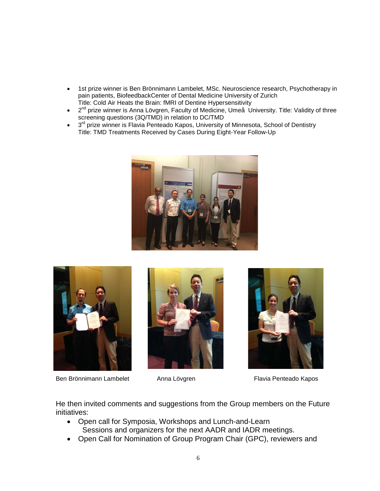- 1st prize winner is Ben Brönnimann Lambelet, MSc. Neuroscience research, Psychotherapy in pain patients, BiofeedbackCenter of Dental Medicine University of Zurich Title: Cold Air Heats the Brain: fMRI of Dentine Hypersensitivity
- $\bullet$   $2^{nd}$  prize winner is Anna Lövgren, Faculty of Medicine, Umeå University. Title: Validity of three screening questions (3Q/TMD) in relation to DC/TMD
- 3<sup>rd</sup> prize winner is Flavia Penteado Kapos, University of Minnesota, School of Dentistry Title: TMD Treatments Received by Cases During Eight-Year Follow-Up





Ben Brönnimann Lambelet Anna Lövgren Flavia Penteado Kapos







He then invited comments and suggestions from the Group members on the Future initiatives:

- Open call for Symposia, Workshops and Lunch-and-Learn Sessions and organizers for the next AADR and IADR meetings.
- Open Call for Nomination of Group Program Chair (GPC), reviewers and